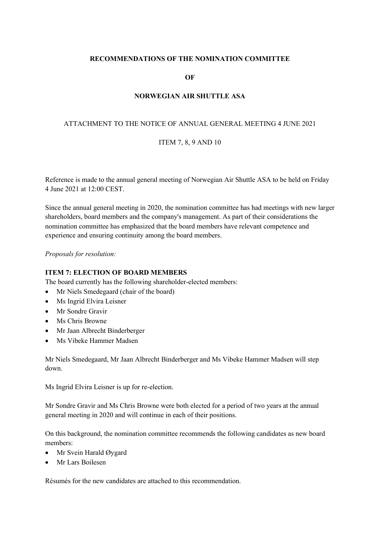# **RECOMMENDATIONS OF THE NOMINATION COMMITTEE**

**OF**

# **NORWEGIAN AIR SHUTTLE ASA**

# ATTACHMENT TO THE NOTICE OF ANNUAL GENERAL MEETING 4 JUNE 2021

### ITEM 7, 8, 9 AND 10

Reference is made to the annual general meeting of Norwegian Air Shuttle ASA to be held on Friday 4 June 2021 at 12:00 CEST.

Since the annual general meeting in 2020, the nomination committee has had meetings with new larger shareholders, board members and the company's management. As part of their considerations the nomination committee has emphasized that the board members have relevant competence and experience and ensuring continuity among the board members.

*Proposals for resolution:*

### **ITEM 7: ELECTION OF BOARD MEMBERS**

The board currently has the following shareholder-elected members:

- Mr Niels Smedegaard (chair of the board)
- Ms Ingrid Elvira Leisner
- Mr Sondre Gravir
- Ms Chris Browne
- Mr Jaan Albrecht Binderberger
- Ms Vibeke Hammer Madsen

Mr Niels Smedegaard, Mr Jaan Albrecht Binderberger and Ms Vibeke Hammer Madsen will step down.

Ms Ingrid Elvira Leisner is up for re-election.

Mr Sondre Gravir and Ms Chris Browne were both elected for a period of two years at the annual general meeting in 2020 and will continue in each of their positions.

On this background, the nomination committee recommends the following candidates as new board members:

- Mr Svein Harald Øygard
- Mr Lars Boilesen

Résumés for the new candidates are attached to this recommendation.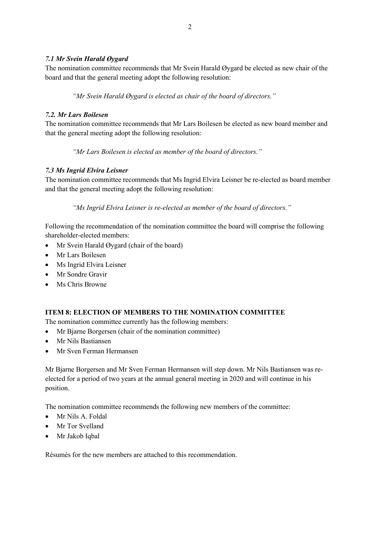# *7.1 Mr Svein Harald Øygard*

The nomination committee recommends that Mr Svein Harald Øygard be elected as new chair of the board and that the general meeting adopt the following resolution:

*"Mr Svein Harald Øygard is elected as chair of the board of directors."* 

# *7.2. Mr Lars Boilesen*

The nomination committee recommends that Mr Lars Boilesen be elected as new board member and that the general meeting adopt the following resolution:

*"Mr Lars Boilesen is elected as member of the board of directors."* 

# *7.3 Ms Ingrid Elvira Leisner*

The nomination committee recommends that Ms Ingrid Elvira Leisner be re-elected as board member and that the general meeting adopt the following resolution:

*"Ms Ingrid Elvira Leisner is re-elected as member of the board of directors."* 

Following the recommendation of the nomination committee the board will comprise the following shareholder-elected members:

- Mr Svein Harald Øygard (chair of the board)
- Mr Lars Boilesen
- Ms Ingrid Elvira Leisner
- Mr Sondre Gravir
- Ms Chris Browne

# **ITEM 8: ELECTION OF MEMBERS TO THE NOMINATION COMMITTEE**

The nomination committee currently has the following members:

- Mr Bjarne Borgersen (chair of the nomination committee)
- Mr Nils Bastiansen
- Mr Sven Ferman Hermansen

Mr Bjarne Borgersen and Mr Sven Ferman Hermansen will step down. Mr Nils Bastiansen was reelected for a period of two years at the annual general meeting in 2020 and will continue in his position.

The nomination committee recommends the following new members of the committee:

- Mr Nils A. Foldal
- Mr Tor Svelland
- Mr Jakob Iqbal

Résumés for the new members are attached to this recommendation.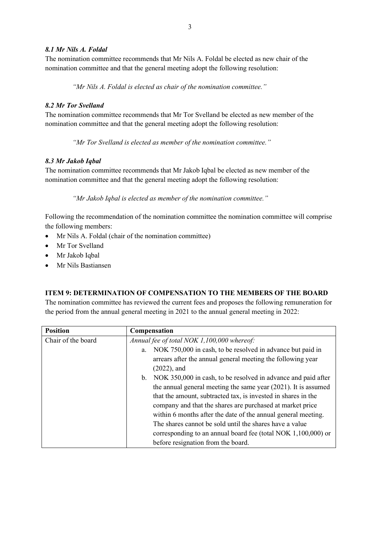# *8.1 Mr Nils A. Foldal*

The nomination committee recommends that Mr Nils A. Foldal be elected as new chair of the nomination committee and that the general meeting adopt the following resolution:

*"Mr Nils A. Foldal is elected as chair of the nomination committee."* 

## *8.2 Mr Tor Svelland*

The nomination committee recommends that Mr Tor Svelland be elected as new member of the nomination committee and that the general meeting adopt the following resolution:

*"Mr Tor Svelland is elected as member of the nomination committee."* 

## *8.3 Mr Jakob Iqbal*

The nomination committee recommends that Mr Jakob Iqbal be elected as new member of the nomination committee and that the general meeting adopt the following resolution:

*"Mr Jakob Iqbal is elected as member of the nomination committee."* 

Following the recommendation of the nomination committee the nomination committee will comprise the following members:

- Mr Nils A. Foldal (chair of the nomination committee)
- Mr Tor Svelland
- Mr Jakob Iqbal
- Mr Nils Bastiansen

# **ITEM 9: DETERMINATION OF COMPENSATION TO THE MEMBERS OF THE BOARD**

The nomination committee has reviewed the current fees and proposes the following remuneration for the period from the annual general meeting in 2021 to the annual general meeting in 2022:

| <b>Position</b>    | Compensation                                                                    |
|--------------------|---------------------------------------------------------------------------------|
| Chair of the board | Annual fee of total NOK 1,100,000 whereof:                                      |
|                    | NOK 750,000 in cash, to be resolved in advance but paid in<br>a.                |
|                    | arrears after the annual general meeting the following year                     |
|                    | $(2022)$ , and                                                                  |
|                    | NOK 350,000 in cash, to be resolved in advance and paid after<br>$\mathbf{b}$ . |
|                    | the annual general meeting the same year $(2021)$ . It is assumed               |
|                    | that the amount, subtracted tax, is invested in shares in the                   |
|                    | company and that the shares are purchased at market price                       |
|                    | within 6 months after the date of the annual general meeting.                   |
|                    | The shares cannot be sold until the shares have a value                         |
|                    | corresponding to an annual board fee (total NOK $1,100,000$ ) or                |
|                    | before resignation from the board.                                              |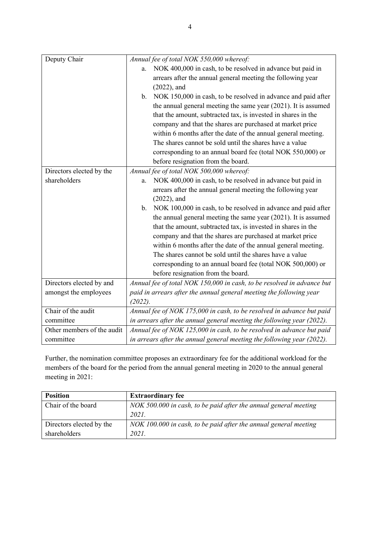| Deputy Chair               | Annual fee of total NOK 550,000 whereof:                               |
|----------------------------|------------------------------------------------------------------------|
|                            | NOK 400,000 in cash, to be resolved in advance but paid in<br>a.       |
|                            | arrears after the annual general meeting the following year            |
|                            | $(2022)$ , and                                                         |
|                            | NOK 150,000 in cash, to be resolved in advance and paid after<br>b.    |
|                            | the annual general meeting the same year $(2021)$ . It is assumed      |
|                            | that the amount, subtracted tax, is invested in shares in the          |
|                            | company and that the shares are purchased at market price              |
|                            | within 6 months after the date of the annual general meeting.          |
|                            | The shares cannot be sold until the shares have a value                |
|                            | corresponding to an annual board fee (total NOK 550,000) or            |
|                            | before resignation from the board.                                     |
| Directors elected by the   | Annual fee of total NOK 500,000 whereof:                               |
| shareholders               | NOK 400,000 in cash, to be resolved in advance but paid in<br>a.       |
|                            | arrears after the annual general meeting the following year            |
|                            | $(2022)$ , and                                                         |
|                            | NOK 100,000 in cash, to be resolved in advance and paid after<br>b.    |
|                            | the annual general meeting the same year $(2021)$ . It is assumed      |
|                            | that the amount, subtracted tax, is invested in shares in the          |
|                            | company and that the shares are purchased at market price              |
|                            | within 6 months after the date of the annual general meeting.          |
|                            | The shares cannot be sold until the shares have a value                |
|                            | corresponding to an annual board fee (total NOK 500,000) or            |
|                            | before resignation from the board.                                     |
| Directors elected by and   | Annual fee of total NOK 150,000 in cash, to be resolved in advance but |
| amongst the employees      | paid in arrears after the annual general meeting the following year    |
|                            | (2022).                                                                |
| Chair of the audit         | Annual fee of NOK 175,000 in cash, to be resolved in advance but paid  |
| committee                  | in arrears after the annual general meeting the following year (2022). |
| Other members of the audit | Annual fee of NOK 125,000 in cash, to be resolved in advance but paid  |
| committee                  | in arrears after the annual general meeting the following year (2022). |

Further, the nomination committee proposes an extraordinary fee for the additional workload for the members of the board for the period from the annual general meeting in 2020 to the annual general meeting in 2021:

| <b>Position</b>          | <b>Extraordinary fee</b>                                         |
|--------------------------|------------------------------------------------------------------|
| Chair of the board       | NOK 500.000 in cash, to be paid after the annual general meeting |
|                          | 2021.                                                            |
| Directors elected by the | NOK 100.000 in cash, to be paid after the annual general meeting |
| shareholders             | 2021.                                                            |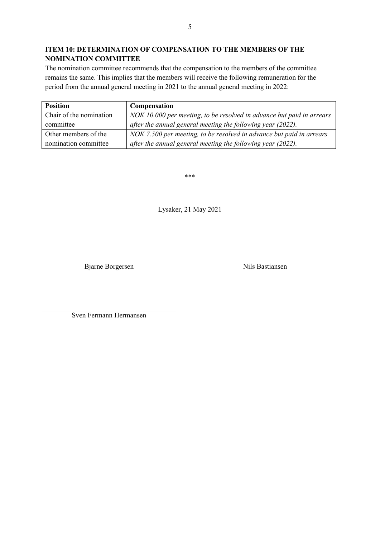# **ITEM 10: DETERMINATION OF COMPENSATION TO THE MEMBERS OF THE NOMINATION COMMITTEE**

The nomination committee recommends that the compensation to the members of the committee remains the same. This implies that the members will receive the following remuneration for the period from the annual general meeting in 2021 to the annual general meeting in 2022:

| <b>Position</b>         | Compensation                                                          |
|-------------------------|-----------------------------------------------------------------------|
| Chair of the nomination | NOK 10.000 per meeting, to be resolved in advance but paid in arrears |
| committee               | after the annual general meeting the following year (2022).           |
| Other members of the    | NOK 7.500 per meeting, to be resolved in advance but paid in arrears  |
| nomination committee    | after the annual general meeting the following year (2022).           |

\*\*\*

Lysaker, 21 May 2021

Bjarne Borgersen Nils Bastiansen

Sven Fermann Hermansen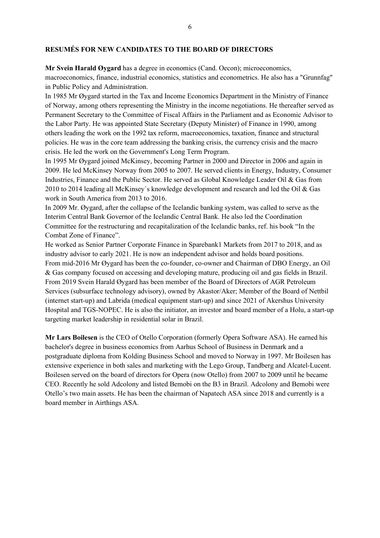#### **RESUMÉS FOR NEW CANDIDATES TO THE BOARD OF DIRECTORS**

**Mr Svein Harald Øygard** has a degree in economics (Cand. Oecon); microeconomics, macroeconomics, finance, industrial economics, statistics and econometrics. He also has a "Grunnfag" in Public Policy and Administration.

In 1985 Mr Øygard started in the Tax and Income Economics Department in the Ministry of Finance of Norway, among others representing the Ministry in the income negotiations. He thereafter served as Permanent Secretary to the Committee of Fiscal Affairs in the Parliament and as Economic Advisor to the Labor Party. He was appointed State Secretary (Deputy Minister) of Finance in 1990, among others leading the work on the 1992 tax reform, macroeconomics, taxation, finance and structural policies. He was in the core team addressing the banking crisis, the currency crisis and the macro crisis. He led the work on the Government's Long Term Program.

In 1995 Mr Øygard joined McKinsey, becoming Partner in 2000 and Director in 2006 and again in 2009. He led McKinsey Norway from 2005 to 2007. He served clients in Energy, Industry, Consumer Industries, Finance and the Public Sector. He served as Global Knowledge Leader Oil & Gas from 2010 to 2014 leading all McKinsey´s knowledge development and research and led the Oil & Gas work in South America from 2013 to 2016.

In 2009 Mr. Øygard, after the collapse of the Icelandic banking system, was called to serve as the Interim Central Bank Governor of the Icelandic Central Bank. He also led the Coordination Committee for the restructuring and recapitalization of the Icelandic banks, ref. his book "In the Combat Zone of Finance".

He worked as Senior Partner Corporate Finance in Sparebank1 Markets from 2017 to 2018, and as industry advisor to early 2021. He is now an independent advisor and holds board positions. From mid-2016 Mr Øygard has been the co-founder, co-owner and Chairman of DBO Energy, an Oil & Gas company focused on accessing and developing mature, producing oil and gas fields in Brazil. From 2019 Svein Harald Øygard has been member of the Board of Directors of AGR Petroleum Services (subsurface technology advisory), owned by Akastor/Aker; Member of the Board of Nettbil (internet start-up) and Labrida (medical equipment start-up) and since 2021 of Akershus University Hospital and TGS-NOPEC. He is also the initiator, an investor and board member of a Holu, a start-up targeting market leadership in residential solar in Brazil.

**Mr Lars Boilesen** is the CEO of Otello Corporation (formerly Opera Software ASA). He earned his bachelor's degree in business economics from Aarhus School of Business in Denmark and a postgraduate diploma from Kolding Business School and moved to Norway in 1997. Mr Boilesen has extensive experience in both sales and marketing with the Lego Group, Tandberg and Alcatel-Lucent. Boilesen served on the board of directors for Opera (now Otello) from 2007 to 2009 until he became CEO. Recently he sold Adcolony and listed Bemobi on the B3 in Brazil. Adcolony and Bemobi were Otello's two main assets. He has been the chairman of Napatech ASA since 2018 and currently is a board member in Airthings ASA.